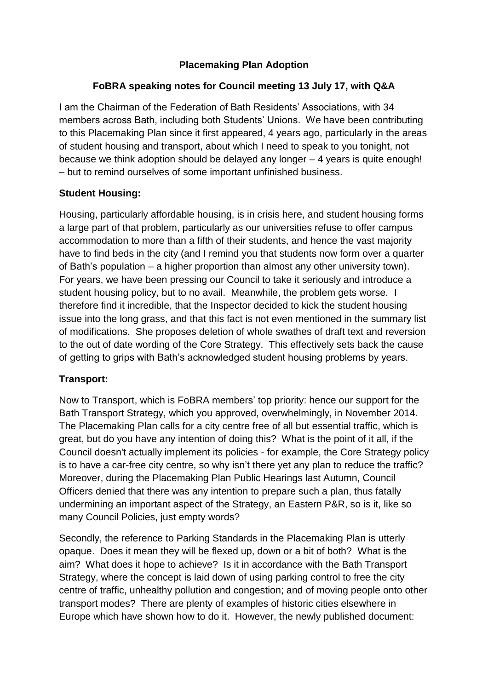# **Placemaking Plan Adoption**

# **FoBRA speaking notes for Council meeting 13 July 17, with Q&A**

I am the Chairman of the Federation of Bath Residents' Associations, with 34 members across Bath, including both Students' Unions. We have been contributing to this Placemaking Plan since it first appeared, 4 years ago, particularly in the areas of student housing and transport, about which I need to speak to you tonight, not because we think adoption should be delayed any longer – 4 years is quite enough! – but to remind ourselves of some important unfinished business.

### **Student Housing:**

Housing, particularly affordable housing, is in crisis here, and student housing forms a large part of that problem, particularly as our universities refuse to offer campus accommodation to more than a fifth of their students, and hence the vast majority have to find beds in the city (and I remind you that students now form over a quarter of Bath's population – a higher proportion than almost any other university town). For years, we have been pressing our Council to take it seriously and introduce a student housing policy, but to no avail. Meanwhile, the problem gets worse. I therefore find it incredible, that the Inspector decided to kick the student housing issue into the long grass, and that this fact is not even mentioned in the summary list of modifications. She proposes deletion of whole swathes of draft text and reversion to the out of date wording of the Core Strategy. This effectively sets back the cause of getting to grips with Bath's acknowledged student housing problems by years.

### **Transport:**

Now to Transport, which is FoBRA members' top priority: hence our support for the Bath Transport Strategy, which you approved, overwhelmingly, in November 2014. The Placemaking Plan calls for a city centre free of all but essential traffic, which is great, but do you have any intention of doing this? What is the point of it all, if the Council doesn't actually implement its policies - for example, the Core Strategy policy is to have a car-free city centre, so why isn't there yet any plan to reduce the traffic? Moreover, during the Placemaking Plan Public Hearings last Autumn, Council Officers denied that there was any intention to prepare such a plan, thus fatally undermining an important aspect of the Strategy, an Eastern P&R, so is it, like so many Council Policies, just empty words?

Secondly, the reference to Parking Standards in the Placemaking Plan is utterly opaque. Does it mean they will be flexed up, down or a bit of both? What is the aim? What does it hope to achieve? Is it in accordance with the Bath Transport Strategy, where the concept is laid down of using parking control to free the city centre of traffic, unhealthy pollution and congestion; and of moving people onto other transport modes? There are plenty of examples of historic cities elsewhere in Europe which have shown how to do it. However, the newly published document: